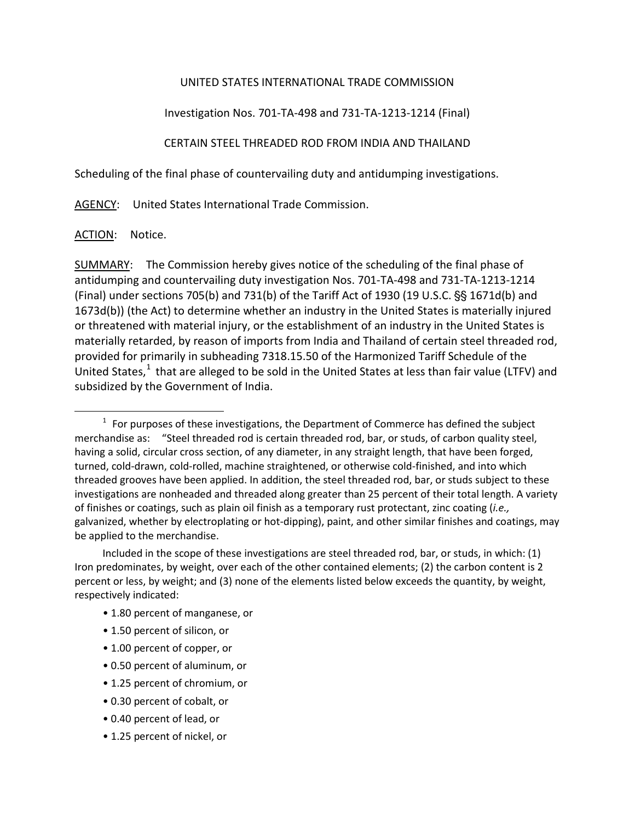## UNITED STATES INTERNATIONAL TRADE COMMISSION

Investigation Nos. 701-TA-498 and 731-TA-1213-1214 (Final)

CERTAIN STEEL THREADED ROD FROM INDIA AND THAILAND

Scheduling of the final phase of countervailing duty and antidumping investigations.

AGENCY: United States International Trade Commission.

ACTION: Notice.

 $\overline{a}$ 

SUMMARY: The Commission hereby gives notice of the scheduling of the final phase of antidumping and countervailing duty investigation Nos. 701-TA-498 and 731-TA-1213-1214 (Final) under sections 705(b) and 731(b) of the Tariff Act of 1930 (19 U.S.C.  $\S$  $\S$  1671d(b) and 1673d(b)) (the Act) to determine whether an industry in the United States is materially injured or threatened with material injury, or the establishment of an industry in the United States is materially retarded, by reason of imports from India and Thailand of certain steel threaded rod, provided for primarily in subheading 7318.15.50 of the Harmonized Tariff Schedule of the United States, $<sup>1</sup>$  $<sup>1</sup>$  $<sup>1</sup>$  that are alleged to be sold in the United States at less than fair value (LTFV) and</sup> subsidized by the Government of India.

- 1.80 percent of manganese, or
- 1.50 percent of silicon, or
- 1.00 percent of copper, or
- 0.50 percent of aluminum, or
- 1.25 percent of chromium, or
- 0.30 percent of cobalt, or
- 0.40 percent of lead, or
- 1.25 percent of nickel, or

<span id="page-0-0"></span> $1$  For purposes of these investigations, the Department of Commerce has defined the subject merchandise as: "Steel threaded rod is certain threaded rod, bar, or studs, of carbon quality steel, having a solid, circular cross section, of any diameter, in any straight length, that have been forged, turned, cold-drawn, cold-rolled, machine straightened, or otherwise cold-finished, and into which threaded grooves have been applied. In addition, the steel threaded rod, bar, or studs subject to these investigations are nonheaded and threaded along greater than 25 percent of their total length. A variety of finishes or coatings, such as plain oil finish as a temporary rust protectant, zinc coating (*i.e.,* galvanized, whether by electroplating or hot-dipping), paint, and other similar finishes and coatings, may be applied to the merchandise.

Included in the scope of these investigations are steel threaded rod, bar, or studs, in which: (1) Iron predominates, by weight, over each of the other contained elements; (2) the carbon content is 2 percent or less, by weight; and (3) none of the elements listed below exceeds the quantity, by weight, respectively indicated: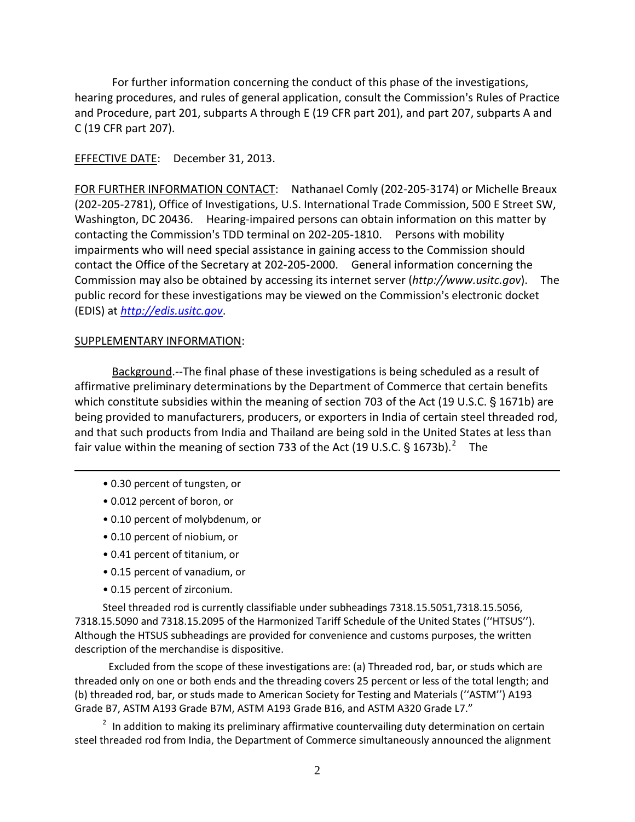For further information concerning the conduct of this phase of the investigations, hearing procedures, and rules of general application, consult the Commission's Rules of Practice and Procedure, part 201, subparts A through E (19 CFR part 201), and part 207, subparts A and C (19 CFR part 207).

## EFFECTIVE DATE: December 31, 2013.

FOR FURTHER INFORMATION CONTACT: Nathanael Comly (202-205-3174) or Michelle Breaux (202-205-2781), Office of Investigations, U.S. International Trade Commission, 500 E Street SW, Washington, DC 20436. Hearing-impaired persons can obtain information on this matter by contacting the Commission's TDD terminal on 202-205-1810. Persons with mobility impairments who will need special assistance in gaining access to the Commission should contact the Office of the Secretary at 202-205-2000. General information concerning the Commission may also be obtained by accessing its internet server (*http://www.usitc.gov*). The public record for these investigations may be viewed on the Commission's electronic docket (EDIS) at *[http://edis.usitc.gov](http://edis.usitc.gov/)*.

## SUPPLEMENTARY INFORMATION:

Background.--The final phase of these investigations is being scheduled as a result of affirmative preliminary determinations by the Department of Commerce that certain benefits which constitute subsidies within the meaning of section 703 of the Act (19 U.S.C.  $\S$  1671b) are being provided to manufacturers, producers, or exporters in India of certain steel threaded rod, and that such products from India and Thailand are being sold in the United States at less than fair value within the meaning of section 733 of the Act (19 U.S.C. § 1673b).<sup>[2](#page-1-0)</sup> The

- 0.30 percent of tungsten, or
- 0.012 percent of boron, or

 $\overline{a}$ 

- 0.10 percent of molybdenum, or
- 0.10 percent of niobium, or
- 0.41 percent of titanium, or
- 0.15 percent of vanadium, or
- 0.15 percent of zirconium.

Steel threaded rod is currently classifiable under subheadings 7318.15.5051,7318.15.5056, 7318.15.5090 and 7318.15.2095 of the Harmonized Tariff Schedule of the United States (''HTSUS''). Although the HTSUS subheadings are provided for convenience and customs purposes, the written description of the merchandise is dispositive.

Excluded from the scope of these investigations are: (a) Threaded rod, bar, or studs which are threaded only on one or both ends and the threading covers 25 percent or less of the total length; and (b) threaded rod, bar, or studs made to American Society for Testing and Materials (''ASTM'') A193 Grade B7, ASTM A193 Grade B7M, ASTM A193 Grade B16, and ASTM A320 Grade L7."

<span id="page-1-0"></span> $2$  In addition to making its preliminary affirmative countervailing duty determination on certain steel threaded rod from India, the Department of Commerce simultaneously announced the alignment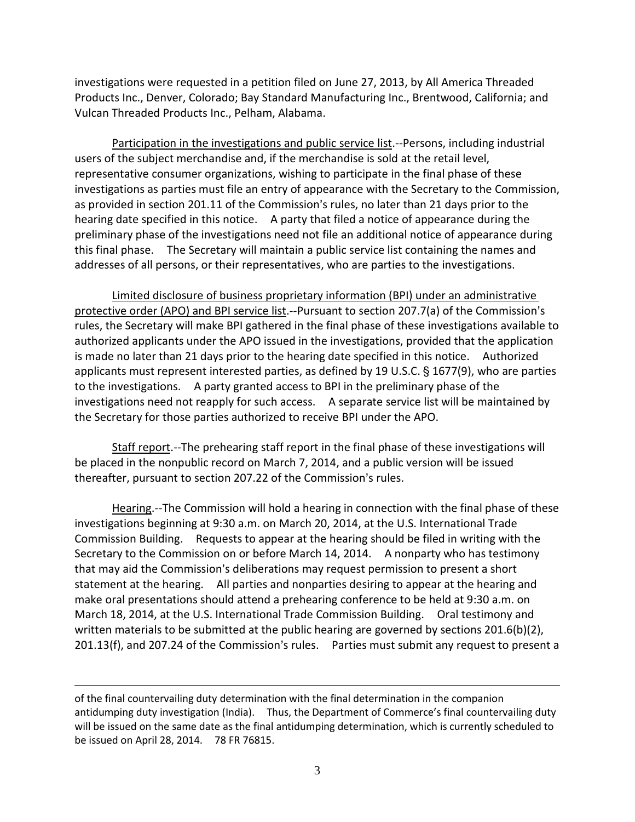investigations were requested in a petition filed on June 27, 2013, by All America Threaded Products Inc., Denver, Colorado; Bay Standard Manufacturing Inc., Brentwood, California; and Vulcan Threaded Products Inc., Pelham, Alabama.

Participation in the investigations and public service list.--Persons, including industrial users of the subject merchandise and, if the merchandise is sold at the retail level, representative consumer organizations, wishing to participate in the final phase of these investigations as parties must file an entry of appearance with the Secretary to the Commission, as provided in section 201.11 of the Commission's rules, no later than 21 days prior to the hearing date specified in this notice. A party that filed a notice of appearance during the preliminary phase of the investigations need not file an additional notice of appearance during this final phase. The Secretary will maintain a public service list containing the names and addresses of all persons, or their representatives, who are parties to the investigations.

Limited disclosure of business proprietary information (BPI) under an administrative protective order (APO) and BPI service list.--Pursuant to section 207.7(a) of the Commission's rules, the Secretary will make BPI gathered in the final phase of these investigations available to authorized applicants under the APO issued in the investigations, provided that the application is made no later than 21 days prior to the hearing date specified in this notice. Authorized applicants must represent interested parties, as defined by 19 U.S.C. § 1677(9), who are parties to the investigations. A party granted access to BPI in the preliminary phase of the investigations need not reapply for such access. A separate service list will be maintained by the Secretary for those parties authorized to receive BPI under the APO.

Staff report.--The prehearing staff report in the final phase of these investigations will be placed in the nonpublic record on March 7, 2014, and a public version will be issued thereafter, pursuant to section 207.22 of the Commission's rules.

Hearing.--The Commission will hold a hearing in connection with the final phase of these investigations beginning at 9:30 a.m. on March 20, 2014, at the U.S. International Trade Commission Building. Requests to appear at the hearing should be filed in writing with the Secretary to the Commission on or before March 14, 2014. A nonparty who has testimony that may aid the Commission's deliberations may request permission to present a short statement at the hearing. All parties and nonparties desiring to appear at the hearing and make oral presentations should attend a prehearing conference to be held at 9:30 a.m. on March 18, 2014, at the U.S. International Trade Commission Building. Oral testimony and written materials to be submitted at the public hearing are governed by sections  $201.6(b)(2)$ , 201.13(f), and 207.24 of the Commission's rules. Parties must submit any request to present a

 $\overline{a}$ 

of the final countervailing duty determination with the final determination in the companion antidumping duty investigation (India). Thus, the Department of Commerce's final countervailing duty will be issued on the same date as the final antidumping determination, which is currently scheduled to be issued on April 28, 2014. 78 FR 76815.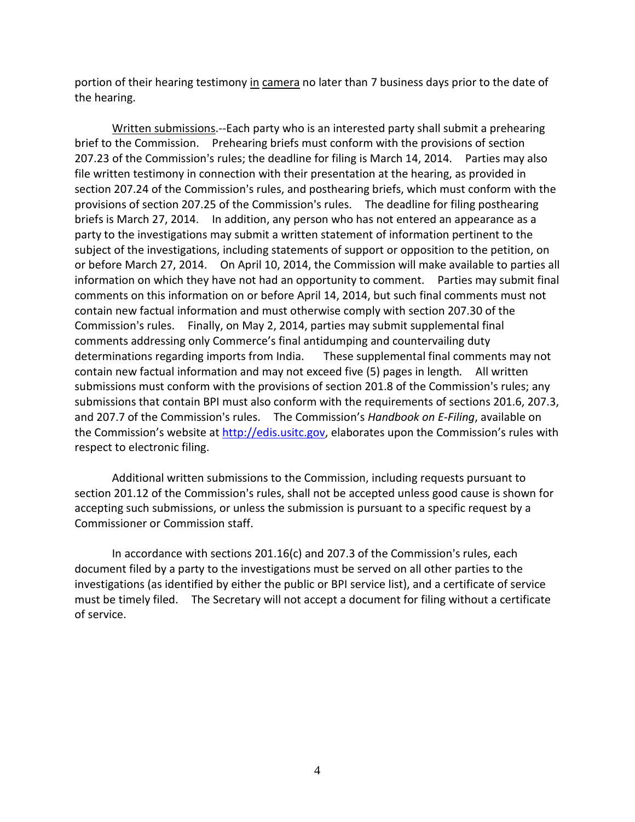portion of their hearing testimony in camera no later than 7 business days prior to the date of the hearing.

Written submissions.--Each party who is an interested party shall submit a prehearing brief to the Commission. Prehearing briefs must conform with the provisions of section 207.23 of the Commission's rules; the deadline for filing is March 14, 2014. Parties may also file written testimony in connection with their presentation at the hearing, as provided in section 207.24 of the Commission's rules, and posthearing briefs, which must conform with the provisions of section 207.25 of the Commission's rules. The deadline for filing posthearing briefs is March 27, 2014. In addition, any person who has not entered an appearance as a party to the investigations may submit a written statement of information pertinent to the subject of the investigations, including statements of support or opposition to the petition, on or before March 27, 2014. On April 10, 2014, the Commission will make available to parties all information on which they have not had an opportunity to comment. Parties may submit final comments on this information on or before April 14, 2014, but such final comments must not contain new factual information and must otherwise comply with section 207.30 of the Commission's rules. Finally, on May 2, 2014, parties may submit supplemental final comments addressing only Commerce's final antidumping and countervailing duty determinations regarding imports from India. These supplemental final comments may not contain new factual information and may not exceed five (5) pages in length*.* All written submissions must conform with the provisions of section 201.8 of the Commission's rules; any submissions that contain BPI must also conform with the requirements of sections 201.6, 207.3, and 207.7 of the Commission's rules. The Commission's *Handbook on E-Filing*, available on the Commission's website at [http://edis.usitc.gov,](http://edis.usitc.gov/) elaborates upon the Commission's rules with respect to electronic filing.

Additional written submissions to the Commission, including requests pursuant to section 201.12 of the Commission's rules, shall not be accepted unless good cause is shown for accepting such submissions, or unless the submission is pursuant to a specific request by a Commissioner or Commission staff.

In accordance with sections  $201.16(c)$  and  $207.3$  of the Commission's rules, each document filed by a party to the investigations must be served on all other parties to the investigations (as identified by either the public or BPI service list), and a certificate of service must be timely filed. The Secretary will not accept a document for filing without a certificate of service.